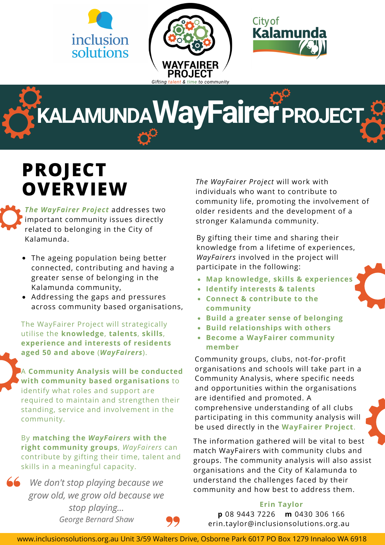



**KALAMUNDAWayFairerPROJECT**

# **PROJECT OVERVIEW**

*The WayFairer Project* addresses two important community issues directly related to belonging in the City of Kalamunda.

- The ageing population being better connected, contributing and having a greater sense of belonging in the Kalamunda community,
- Addressing the gaps and pressures across community based organisations,

The WayFairer Project will strategically utilise the **knowledge**, **talents**, **skills**, **experience and interests of residents aged 50 and above** (*WayFairers*).

A **Community Analysis will be conducted with community based organisations** to identify what roles and support are required to maintain and strengthen their standing, service and involvement in the community.

By **matching the** *WayFairers* **with the right community groups**, *WayFairers* can contribute by gifting their time, talent and skills in a meaningful capacity.

*We don't stop playing because we grow old, we grow old because we stop playing... George Bernard Shaw*



By gifting their time and sharing their knowledge from a lifetime of experiences, *WayFairers* involved in the project will participate in the following:

- **Map knowledge, skills & experiences**
- **Identify interests & talents**
- **Connect & contribute to the community**
- **Build a greater sense of belonging**
- **Build relationships with others**
- **Become a WayFairer community member**

Community groups, clubs, not-for-profit organisations and schools will take part in a Community Analysis, where specific needs and opportunities within the organisations are identified and promoted. A comprehensive understanding of all clubs participating in this community analysis will be used directly in the **WayFairer Project**.

The information gathered will be vital to best match WayFairers with community clubs and groups. The community analysis will also assist organisations and the City of Kalamunda to understand the challenges faced by their community and how best to address them.

## **Erin Taylor**

**p** 08 9443 7226 **m** 0430 306 166 erin.taylor@inclusionsolutions.org.au

www.inclusionsolutions.org.au Unit 3/59 Walters Drive, Osborne Park 6017 PO Box 1279 Innaloo WA 6918